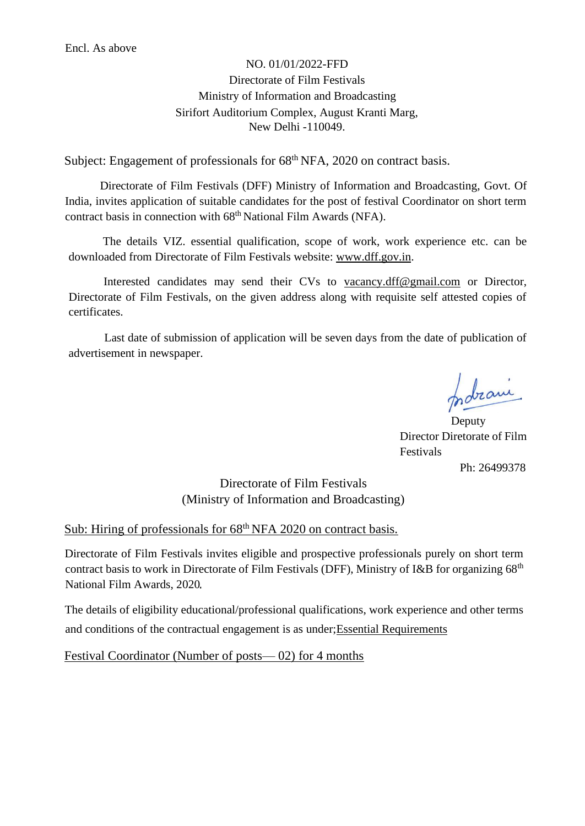## NO. 01/01/2022-FFD Directorate of Film Festivals Ministry of Information and Broadcasting Sirifort Auditorium Complex, August Kranti Marg, New Delhi -110049.

Subject: Engagement of professionals for 68<sup>th</sup> NFA, 2020 on contract basis.

Directorate of Film Festivals (DFF) Ministry of Information and Broadcasting, Govt. Of India, invites application of suitable candidates for the post of festival Coordinator on short term contract basis in connection with 68<sup>th</sup> National Film Awards (NFA).

The details VIZ. essential qualification, scope of work, work experience etc. can be downloaded from Directorate of Film Festivals website: www.dff.gov.in.

Interested candidates may send their CVs to vacancy.dff@gmail.com or Director, Directorate of Film Festivals, on the given address along with requisite self attested copies of certificates.

Last date of submission of application will be seven days from the date of publication of advertisement in newspaper.

probrami

**Deputy** Director Diretorate of Film Festivals Ph: 26499378

## Directorate of Film Festivals (Ministry of Information and Broadcasting)

## Sub: Hiring of professionals for 68<sup>th</sup> NFA 2020 on contract basis.

Directorate of Film Festivals invites eligible and prospective professionals purely on short term contract basis to work in Directorate of Film Festivals (DFF), Ministry of I&B for organizing 68<sup>th</sup> National Film Awards, 2020

The details of eligibility educational/professional qualifications, work experience and other terms and conditions of the contractual engagement is as under;Essential Requirements

Festival Coordinator (Number of posts— 02) for 4 months